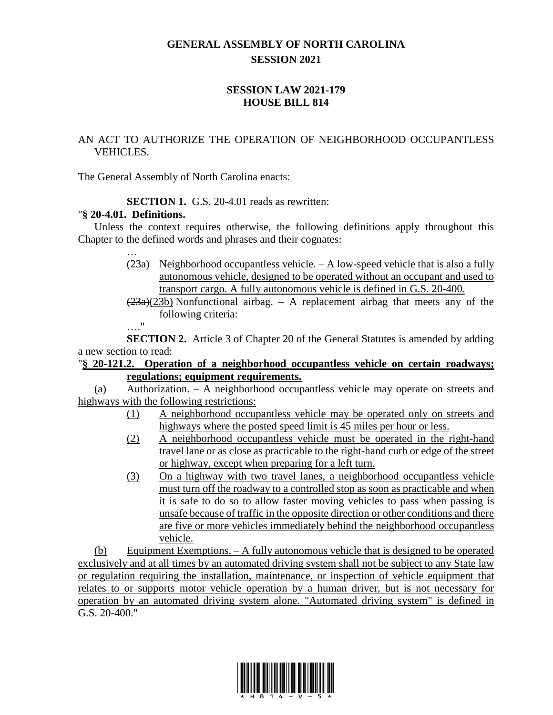## **GENERAL ASSEMBLY OF NORTH CAROLINA SESSION 2021**

## **SESSION LAW 2021-179 HOUSE BILL 814**

## AN ACT TO AUTHORIZE THE OPERATION OF NEIGHBORHOOD OCCUPANTLESS VEHICLES.

The General Assembly of North Carolina enacts:

**SECTION 1.** G.S. 20-4.01 reads as rewritten:

## "**§ 20-4.01. Definitions.**

Unless the context requires otherwise, the following definitions apply throughout this Chapter to the defined words and phrases and their cognates:

- … (23a) Neighborhood occupantless vehicle. – A low-speed vehicle that is also a fully autonomous vehicle, designed to be operated without an occupant and used to transport cargo. A fully autonomous vehicle is defined in G.S. 20-400.
- $(23a)(23b)$  Nonfunctional airbag. A replacement airbag that meets any of the following criteria:

…."

**SECTION 2.** Article 3 of Chapter 20 of the General Statutes is amended by adding a new section to read:

"**§ 20-121.2. Operation of a neighborhood occupantless vehicle on certain roadways; regulations; equipment requirements.**

(a) Authorization. – A neighborhood occupantless vehicle may operate on streets and highways with the following restrictions:

- (1) A neighborhood occupantless vehicle may be operated only on streets and highways where the posted speed limit is 45 miles per hour or less.
- (2) A neighborhood occupantless vehicle must be operated in the right-hand travel lane or as close as practicable to the right-hand curb or edge of the street or highway, except when preparing for a left turn.
- (3) On a highway with two travel lanes, a neighborhood occupantless vehicle must turn off the roadway to a controlled stop as soon as practicable and when it is safe to do so to allow faster moving vehicles to pass when passing is unsafe because of traffic in the opposite direction or other conditions and there are five or more vehicles immediately behind the neighborhood occupantless vehicle.

(b) Equipment Exemptions. – A fully autonomous vehicle that is designed to be operated exclusively and at all times by an automated driving system shall not be subject to any State law or regulation requiring the installation, maintenance, or inspection of vehicle equipment that relates to or supports motor vehicle operation by a human driver, but is not necessary for operation by an automated driving system alone. "Automated driving system" is defined in G.S. 20-400."